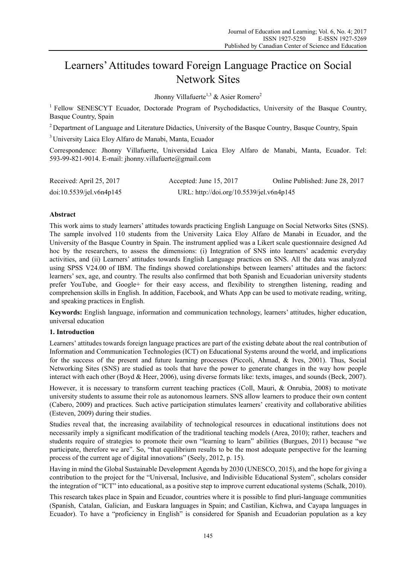# Learners' Attitudes toward Foreign Language Practice on Social Network Sites

Jhonny Villafuerte<sup>1,3</sup> & Asier Romero<sup>2</sup>

<sup>1</sup> Fellow SENESCYT Ecuador, Doctorade Program of Psychodidactics, University of the Basque Country, Basque Country, Spain

<sup>2</sup> Department of Language and Literature Didactics, University of the Basque Country, Basque Country, Spain

3 University Laica Eloy Alfaro de Manabi, Manta, Ecuador

Correspondence: Jhonny Villafuerte, Universidad Laica Eloy Alfaro de Manabi, Manta, Ecuador. Tel: 593-99-821-9014. E-mail: jhonny.villafuerte@gmail.com

| Received: April 25, 2017 | Accepted: June $15, 2017$                | Online Published: June 28, 2017 |
|--------------------------|------------------------------------------|---------------------------------|
| doi:10.5539/jet.v6n4p145 | URL: http://doi.org/10.5539/jel.v6n4p145 |                                 |

## **Abstract**

This work aims to study learners' attitudes towards practicing English Language on Social Networks Sites (SNS). The sample involved 110 students from the University Laica Eloy Alfaro de Manabi in Ecuador, and the University of the Basque Country in Spain. The instrument applied was a Likert scale questionnaire designed Ad hoc by the researchers, to assess the dimensions: (i) Integration of SNS into learners' academic everyday activities, and (ii) Learners' attitudes towards English Language practices on SNS. All the data was analyzed using SPSS V24.00 of IBM. The findings showed corelationships between learners' attitudes and the factors: learners' sex, age, and country. The results also confirmed that both Spanish and Ecuadorian university students prefer YouTube, and Google+ for their easy access, and flexibility to strengthen listening, reading and comprehension skills in English. In addition, Facebook, and Whats App can be used to motivate reading, writing, and speaking practices in English.

**Keywords:** English language, information and communication technology, learners' attitudes, higher education, universal education

# **1. Introduction**

Learners' attitudes towards foreign language practices are part of the existing debate about the real contribution of Information and Communication Technologies (ICT) on Educational Systems around the world, and implications for the success of the present and future learning processes (Piccoli, Ahmad, & Ives, 2001). Thus, Social Networking Sites (SNS) are studied as tools that have the power to generate changes in the way how people interact with each other (Boyd & Heer, 2006), using diverse formats like: texts, images, and sounds (Beck, 2007).

However, it is necessary to transform current teaching practices (Coll, Mauri, & Onrubia, 2008) to motivate university students to assume their role as autonomous learners. SNS allow learners to produce their own content (Cabero, 2009) and practices. Such active participation stimulates learners' creativity and collaborative abilities (Esteven, 2009) during their studies.

Studies reveal that, the increasing availability of technological resources in educational institutions does not necessarily imply a significant modification of the traditional teaching models (Area, 2010); rather, teachers and students require of strategies to promote their own "learning to learn" abilities (Burgues, 2011) because "we participate, therefore we are". So, "that equilibrium results to be the most adequate perspective for the learning process of the current age of digital innovations" (Seely, 2012, p. 15).

Having in mind the Global Sustainable Development Agenda by 2030 (UNESCO, 2015), and the hope for giving a contribution to the project for the "Universal, Inclusive, and Indivisible Educational System", scholars consider the integration of "ICT" into educational, as a positive step to improve current educational systems (Schalk, 2010).

This research takes place in Spain and Ecuador, countries where it is possible to find pluri-language communities (Spanish, Catalan, Galician, and Euskara languages in Spain; and Castilian, Kichwa, and Cayapa languages in Ecuador). To have a "proficiency in English" is considered for Spanish and Ecuadorian population as a key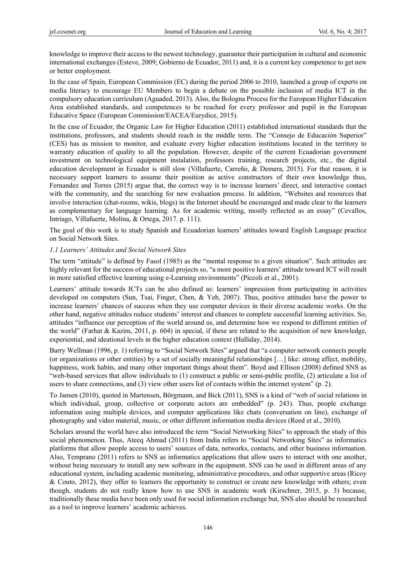knowledge to improve their access to the newest technology, guarantee their participation in cultural and economic international exchanges (Esteve, 2009; Gobierno de Ecuador, 2011) and, it is a current key competence to get new or better employment.

In the case of Spain, European Commission (EC) during the period 2006 to 2010, launched a group of experts on media literacy to encourage EU Members to begin a debate on the possible inclusion of media ICT in the compulsory education curriculum (Aguaded, 2013). Also, the Bologna Process for the European Higher Education Area established standards, and competences to be reached for every professor and pupil in the European Educative Space (European Commission/EACEA/Eurydice, 2015).

In the case of Ecuador, the Organic Law for Higher Education (2011) established international standards that the institutions, professors, and students should reach in the middle term. The "Consejo de Educación Superior" (CES) has as mission to monitor, and evaluate every higher education institutions located in the territory to warranty education of quality to all the population. However, despite of the current Ecuadorian government investment on technological equipment instalation, professors training, research projects, etc., the digital education development in Ecuador is still slow (Villafuerte, Carreño, & Demera, 2015). For that reason, it is necessary support learners to assume their position as active constructors of their own knowledge thus, Fernandez and Torres (2015) argue that, the correct way is to increase learners' direct, and interactive contact with the community, and the searching for new evaluation process. In addition, "Websites and resources that involve interaction (chat-rooms, wikis, blogs) in the Internet should be encouraged and made clear to the learners as complementary for language learning. As for academic writing, mostly reflected as an essay" (Cevallos, Intriago, Villafuerte, Molina, & Ortega, 2017. p. 111).

The goal of this work is to study Spanish and Ecuadorian learners' attitudes toward English Language practice on Social Network Sites.

## *1.1 Learners' Attitudes and Social Network Sites*

The term "attitude" is defined by Fasol (1985) as the "mental response to a given situation". Such attitudes are highly relevant for the success of educational projects so, "a more positive learners' attitude toward ICT will result in more satisfied effective learning using e-Learning environments" (Piccoli et al., 2001).

Learners' attitude towards ICTs can be also defined as: learners' impression from participating in activities developed on computers (Sun, Tsai, Finger, Chen, & Yeh, 2007). Thus, positive attitudes have the power to increase learners' chances of success when they use computer devices in their diverse academic works. On the other hand, negative attitudes reduce students' interest and chances to complete successful learning activities. So, attitudes "influence our perception of the world around us, and determine how we respond to different entities of the world" (Farhat & Kazim, 2011, p. 604) in special, if these are related to the acquisition of new knowledge, experiential, and ideational levels in the higher education context (Halliday, 2014).

Barry Wellman (1996, p. 1) referring to "Social Network Sites" argued that "a computer network connects people (or organizations or other entities) by a set of socially meaningful relationships […] like: strong affect, mobility, happiness, work habits, and many other important things about them". Boyd and Ellison (2008) defined SNS as "web-based services that allow individuals to (1) construct a public or semi-public profile, (2) articulate a list of users to share connections, and (3) view other users list of contacts within the internet system" (p. 2).

To Jansen (2010), quoted in Martensen, Börgmann, and Bick (2011), SNS is a kind of "web of social relations in which individual, group, collective or corporate actors are embedded" (p. 243). Thus, people exchange information using multiple devices, and computer applications like chats (conversation on line), exchange of photography and video material, music, or other different information media devices (Reed et al., 2010).

Scholars around the world have also introduced the term "Social Networking Sites" to approach the study of this social phenomenon. Thus, Ateeq Ahmad (2011) from India refers to "Social Networking Sites" as informatics platforms that allow people access to users' sources of data, networks, contacts, and other business information. Also, Temprano (2011) refers to SNS as informatics applications that allow users to interact with one another, without being necessary to install any new software in the equipment. SNS can be used in different areas of any educational system, including academic monitoring, administrative procedures, and other supportive areas (Ricoy & Couto, 2012), they offer to learners the opportunity to construct or create new knowledge with others; even though, students do not really know how to use SNS in academic work (Kirschner, 2015, p. 3) because, traditionally these media have been only used for social information exchange but, SNS also should be researched as a tool to improve learners' academic achieves.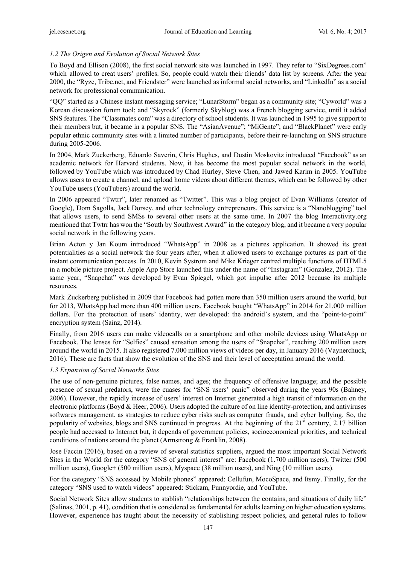# *1.2 The Origen and Evolution of Social Network Sites*

To Boyd and Ellison (2008), the first social network site was launched in 1997. They refer to "SixDegrees.com" which allowed to creat users' profiles. So, people could watch their friends' data list by screens. After the year 2000, the "Ryze, Tribe.net, and Friendster" were launched as informal social networks, and "LinkedIn" as a social network for professional communication.

"QQ" started as a Chinese instant messaging service; "LunarStorm" began as a community site; "Cyworld" was a Korean discussion forum tool; and "Skyrock" (formerly Skyblog) was a French blogging service, until it added SNS features. The "Classmates.com" was a directory of school students. It was launched in 1995 to give support to their members but, it became in a popular SNS. The "AsianAvenue"; "MiGente"; and "BlackPlanet" were early popular ethnic community sites with a limited number of participants, before their re-launching on SNS structure during 2005-2006.

In 2004, Mark Zuckerberg, Eduardo Saverin, Chris Hughes, and Dustin Moskovitz introduced "Facebook" as an academic network for Harvard students. Now, it has become the most popular social network in the world, followed by YouTube which was introduced by Chad Hurley, Steve Chen, and Jawed Karim in 2005. YouTube allows users to create a channel, and upload home videos about different themes, which can be followed by other YouTube users (YouTubers) around the world.

In 2006 appeared "Twtrr", later renamed as "Twitter". This was a blog project of Evan Williams (creator of Google), Dom Sagolla, Jack Dorsey, and other technology entrepreneurs. This service is a "Nanoblogging" tool that allows users, to send SMSs to several other users at the same time. In 2007 the blog Interactivity.org mentioned that Twtrr has won the "South by Southwest Award" in the category blog, and it became a very popular social network in the following years.

Brian Acton y Jan Koum introduced "WhatsApp" in 2008 as a pictures application. It showed its great potentialities as a social network the four years after, when it allowed users to exchange pictures as part of the instant communication process. In 2010, Kevin Systrom and Mike Krieger centred multiple functions of HTML5 in a mobile picture project. Apple App Store launched this under the name of "Instagram" (Gonzalez, 2012). The same year, "Snapchat" was developed by Evan Spiegel, which got impulse after 2012 because its multiple resources.

Mark Zuckerberg published in 2009 that Facebook had gotten more than 350 million users around the world, but for 2013, WhatsApp had more than 400 million users. Facebook bought "WhatsApp" in 2014 for 21.000 million dollars. For the protection of users' identity, wer developed: the android's system, and the "point-to-point" encryption system (Sainz, 2014).

Finally, from 2016 users can make videocalls on a smartphone and other mobile devices using WhatsApp or Facebook. The lenses for "Selfies" caused sensation among the users of "Snapchat", reaching 200 million users around the world in 2015. It also registered 7.000 million views of videos per day, in January 2016 (Vaynerchuck, 2016). These are facts that show the evolution of the SNS and their level of acceptation around the world.

#### *1.3 Expansion of Social Networks Sites*

The use of non-genuine pictures, false names, and ages; the frequency of offensive language; and the possible presence of sexual predators, were the cuases for "SNS users' panic" observed during the years 90s (Bahney, 2006). However, the rapidly increase of users' interest on Internet generated a high transit of information on the electronic platforms (Boyd & Heer, 2006). Users adopted the culture of on line identity-protection, and antiviruses softwares management, as strategies to reduce cyber risks such as computer frauds, and cyber bullying. So, the popularity of websites, blogs and SNS continued in progress. At the beginning of the  $21<sup>st</sup>$  century, 2.17 billion people had accessed to Internet but, it depends of government policies, socioeconomical priorities, and technical conditions of nations around the planet (Armstrong & Franklin, 2008).

Jose Faccin (2016), based on a review of several statistics suppliers, argued the most important Social Network Sites in the World for the category "SNS of general interest" are: Facebook (1.700 million users), Twitter (500 million users), Google+ (500 million users), Myspace (38 million users), and Ning (10 million users).

For the category "SNS accessed by Mobile phones" appeared: Cellufun, MocoSpace, and Itsmy. Finally, for the category "SNS used to watch videos" appeared: Stickam, Funnyordie, and YouTube.

Social Network Sites allow students to stablish "relationships between the contains, and situations of daily life" (Salinas, 2001, p. 41), condition that is considered as fundamental for adults learning on higher education systems. However, experience has taught about the necessity of stablishing respect policies, and general rules to follow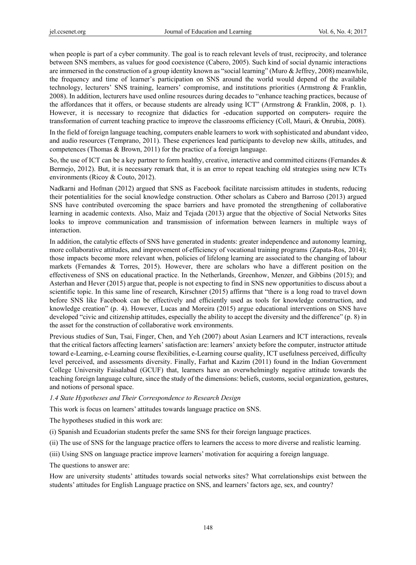when people is part of a cyber community. The goal is to reach relevant levels of trust, reciprocity, and tolerance between SNS members, as values for good coexistence (Cabero, 2005). Such kind of social dynamic interactions are immersed in the construction of a group identity known as "social learning" (Muro & Jeffrey, 2008) meanwhile, the frequency and time of learner's participation on SNS around the world would depend of the available technology, lecturers' SNS training, learners' compromise, and institutions priorities (Armstrong & Franklin, 2008). In addition, lecturers have used online resources during decades to "enhance teaching practices, because of the affordances that it offers, or because students are already using ICT" (Armstrong & Franklin, 2008, p. 1). However, it is necessary to recognize that didactics for -education supported on computers- require the transformation of current teaching practice to improve the classrooms efficiency (Coll, Mauri, & Onrubia, 2008).

In the field of foreign language teaching, computers enable learners to work with sophisticated and abundant video, and audio resources (Temprano, 2011). These experiences lead participants to develop new skills, attitudes, and competences (Thomas & Brown, 2011) for the practice of a foreign language.

So, the use of ICT can be a key partner to form healthy, creative, interactive and committed citizens (Fernandes & Bermejo, 2012). But, it is necessary remark that, it is an error to repeat teaching old strategies using new ICTs environments (Ricoy & Couto, 2012).

Nadkarni and Hofman (2012) argued that SNS as Facebook facilitate narcissism attitudes in students, reducing their potentialities for the social knowledge construction. Other scholars as Cabero and Barroso (2013) argued SNS have contributed overcoming the space barriers and have promoted the strengthening of collaborative learning in academic contexts. Also, Maiz and Tejada (2013) argue that the objective of Social Networks Sites looks to improve communication and transmission of information between learners in multiple ways of interaction.

In addition, the catalytic effects of SNS have generated in students: greater independence and autonomy learning, more collaborative attitudes, and improvement of efficiency of vocational training programs (Zapata-Ros, 2014); those impacts become more relevant when, policies of lifelong learning are associated to the changing of labour markets (Fernandes & Torres, 2015). However, there are scholars who have a different position on the effectiveness of SNS on educational practice. In the Netherlands, Greenhow, Menzer, and Gibbins (2015); and Asterhan and Hever (2015) argue that, people is not expecting to find in SNS new opportunities to discuss about a scientific topic. In this same line of research, Kirschner (2015) affirms that "there is a long road to travel down before SNS like Facebook can be effectively and efficiently used as tools for knowledge construction, and knowledge creation" (p. 4). However, Lucas and Moreira (2015) argue educational interventions on SNS have developed "civic and citizenship attitudes, especially the ability to accept the diversity and the difference" (p. 8) in the asset for the construction of collaborative work environments.

Previous studies of Sun, Tsai, Finger, Chen, and Yeh (2007) about Asian Learners and ICT interactions, reveals that the critical factors affecting learners' satisfaction are: learners' anxiety before the computer, instructor attitude toward e-Learning, e-Learning course flexibilities, e-Learning course quality, ICT usefulness perceived, difficulty level perceived, and assessments diversity. Finally, Farhat and Kazim (2011) found in the Indian Government College University Faisalabad (GCUF) that, learners have an overwhelmingly negative attitude towards the teaching foreign language culture, since the study of the dimensions: beliefs, customs, social organization, gestures, and notions of personal space.

### *1.4 State Hypotheses and Their Correspondence to Research Design*

This work is focus on learners' attitudes towards language practice on SNS.

The hypotheses studied in this work are:

(i) Spanish and Ecuadorian students prefer the same SNS for their foreign language practices.

(ii) The use of SNS for the language practice offers to learners the access to more diverse and realistic learning.

(iii) Using SNS on language practice improve learners' motivation for acquiring a foreign language.

The questions to answer are:

How are university students' attitudes towards social networks sites? What correlationships exist between the students' attitudes for English Language practice on SNS, and learners' factors age, sex, and country?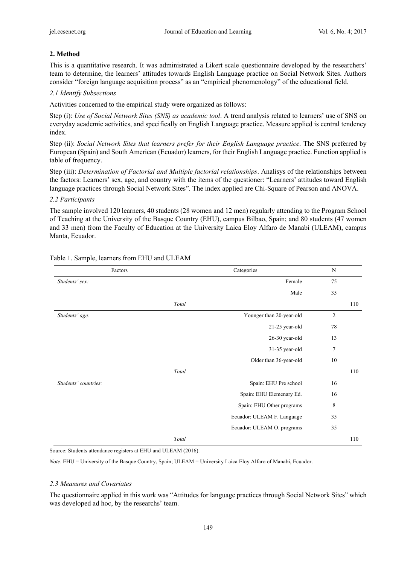# **2. Method**

This is a quantitative research. It was administrated a Likert scale questionnaire developed by the researchers' team to determine, the learners' attitudes towards English Language practice on Social Network Sites. Authors consider "foreign language acquisition process" as an "empirical phenomenology" of the educational field.

# *2.1 Identify Subsections*

Activities concerned to the empirical study were organized as follows:

Step (i): *Use of Social Network Sites (SNS) as academic tool*. A trend analysis related to learners' use of SNS on everyday academic activities, and specifically on English Language practice. Measure applied is central tendency index.

Step (ii): *Social Network Sites that learners prefer for their English Language practice*. The SNS preferred by European (Spain) and South American (Ecuador) learners, for their English Language practice. Function applied is table of frequency.

Step (iii): *Determination of Factorial and Multiple factorial relationships*. Analisys of the relationships between the factors: Learners' sex, age, and country with the items of the questioner: "Learners' attitudes toward English language practices through Social Network Sites". The index applied are Chi-Square of Pearson and ANOVA.

## *2.2 Participants*

The sample involved 120 learners, 40 students (28 women and 12 men) regularly attending to the Program School of Teaching at the University of the Basque Country (EHU), campus Bilbao, Spain; and 80 students (47 women and 33 men) from the Faculty of Education at the University Laica Eloy Alfaro de Manabi (ULEAM), campus Manta, Ecuador.

| Categories<br>Factors |       | N                          |                |     |
|-----------------------|-------|----------------------------|----------------|-----|
| Students' sex:        |       | Female                     | 75             |     |
|                       |       | Male                       | 35             |     |
|                       | Total |                            |                | 110 |
| Students' age:        |       | Younger than 20-year-old   | $\overline{2}$ |     |
|                       |       | 21-25 year-old             | 78             |     |
|                       |       | 26-30 year-old             | 13             |     |
|                       |       | 31-35 year-old             | $\tau$         |     |
|                       |       | Older than 36-year-old     | 10             |     |
|                       | Total |                            |                | 110 |
| Students' countries:  |       | Spain: EHU Pre school      | 16             |     |
|                       |       | Spain: EHU Elemenary Ed.   | 16             |     |
|                       |       | Spain: EHU Other programs  | 8              |     |
|                       |       | Ecuador: ULEAM F. Language | 35             |     |
|                       |       | Ecuador: ULEAM O. programs | 35             |     |
|                       | Total |                            |                | 110 |

Table 1. Sample, learners from EHU and ULEAM

Source: Students attendance registers at EHU and ULEAM (2016).

*Note*. EHU = University of the Basque Country, Spain; ULEAM = University Laica Eloy Alfaro of Manabi, Ecuador.

#### *2.3 Measures and Covariates*

The questionnaire applied in this work was "Attitudes for language practices through Social Network Sites" which was developed ad hoc, by the researchs' team.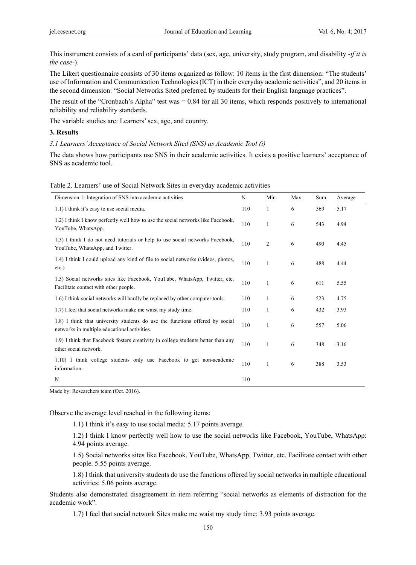This instrument consists of a card of participants' data (sex, age, university, study program, and disability -*if it is the case-*).

The Likert questionnaire consists of 30 items organized as follow: 10 items in the first dimension: "The students' use of Information and Communication Technologies (ICT) in their everyday academic activities", and 20 items in the second dimension: "Social Networks Sited preferred by students for their English language practices".

The result of the "Cronbach's Alpha" test was = 0.84 for all 30 items, which responds positively to international reliability and reliability standards.

The variable studies are: Learners' sex, age, and country.

#### **3. Results**

*3.1 Learners' Acceptance of Social Network Sited (SNS) as Academic Tool (i)* 

The data shows how participants use SNS in their academic activities. It exists a positive learners' acceptance of SNS as academic tool.

| Dimension 1: Integration of SNS into academic activities                                                                     | N   | Mín.           | Max. | Sum | Average |
|------------------------------------------------------------------------------------------------------------------------------|-----|----------------|------|-----|---------|
| 1.1) I think it's easy to use social media.                                                                                  | 110 | 1              | 6    | 569 | 5.17    |
| 1.2) I think I know perfectly well how to use the social networks like Facebook,<br>YouTube, WhatsApp.                       | 110 | $\mathbf{1}$   | 6    | 543 | 4.94    |
| 1.3) I think I do not need tutorials or help to use social networks Facebook,<br>YouTube, WhatsApp, and Twitter.             | 110 | $\overline{c}$ | 6    | 490 | 4.45    |
| 1.4) I think I could upload any kind of file to social networks (videos, photos,<br>$etc.$ )                                 | 110 | 1              | 6    | 488 | 4.44    |
| 1.5) Social networks sites like Facebook, YouTube, WhatsApp, Twitter, etc.<br>Facilitate contact with other people.          | 110 | $\mathbf{1}$   | 6    | 611 | 5.55    |
| 1.6) I think social networks will hardly be replaced by other computer tools.                                                | 110 | 1              | 6    | 523 | 4.75    |
| 1.7) I feel that social networks make me waist my study time.                                                                | 110 | 1              | 6    | 432 | 3.93    |
| 1.8) I think that university students do use the functions offered by social<br>networks in multiple educational activities. | 110 | 1              | 6    | 557 | 5.06    |
| 1.9) I think that Facebook fosters creativity in college students better than any<br>other social network.                   | 110 | $\mathbf{1}$   | 6    | 348 | 3.16    |
| 1.10) I think college students only use Facebook to get non-academic<br>information.                                         | 110 | $\mathbf{1}$   | 6    | 388 | 3.53    |
| N                                                                                                                            | 110 |                |      |     |         |

Table 2. Learners' use of Social Network Sites in everyday academic activities

Made by: Researchers team (Oct. 2016).

Observe the average level reached in the following items:

1.1) I think it's easy to use social media: 5.17 points average.

1.2) I think I know perfectly well how to use the social networks like Facebook, YouTube, WhatsApp: 4.94 points average.

1.5) Social networks sites like Facebook, YouTube, WhatsApp, Twitter, etc. Facilitate contact with other people. 5.55 points average.

1.8) I think that university students do use the functions offered by social networks in multiple educational activities: 5.06 points average.

Students also demonstrated disagreement in item referring "social networks as elements of distraction for the academic work".

1.7) I feel that social network Sites make me waist my study time: 3.93 points average.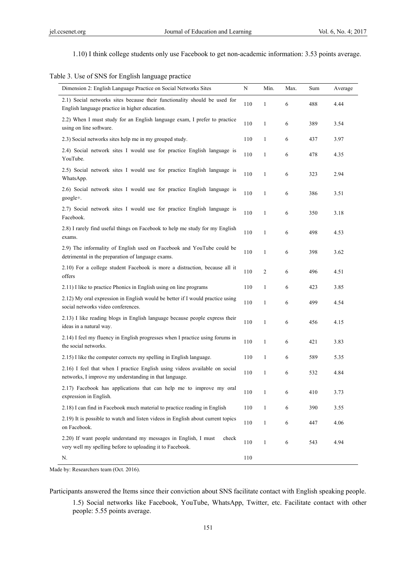1.10) I think college students only use Facebook to get non-academic information: 3.53 points average.

|  |  | Table 3. Use of SNS for English language practice |  |
|--|--|---------------------------------------------------|--|
|  |  |                                                   |  |

| Dimension 2: English Language Practice on Social Networks Sites                                                                      | N   | Mín.         | Max. | Sum | Average |
|--------------------------------------------------------------------------------------------------------------------------------------|-----|--------------|------|-----|---------|
| 2.1) Social networks sites because their functionality should be used for<br>English language practice in higher education.          | 110 | 1            | 6    | 488 | 4.44    |
| 2.2) When I must study for an English language exam, I prefer to practice<br>using on line software.                                 | 110 | 1            | 6    | 389 | 3.54    |
| 2.3) Social networks sites help me in my grouped study.                                                                              | 110 | 1            | 6    | 437 | 3.97    |
| 2.4) Social network sites I would use for practice English language is<br>YouTube.                                                   | 110 | 1            | 6    | 478 | 4.35    |
| 2.5) Social network sites I would use for practice English language is<br>WhatsApp.                                                  | 110 | 1            | 6    | 323 | 2.94    |
| 2.6) Social network sites I would use for practice English language is<br>google+.                                                   | 110 | $\mathbf{1}$ | 6    | 386 | 3.51    |
| 2.7) Social network sites I would use for practice English language is<br>Facebook.                                                  | 110 | 1            | 6    | 350 | 3.18    |
| 2.8) I rarely find useful things on Facebook to help me study for my English<br>exams.                                               | 110 | 1            | 6    | 498 | 4.53    |
| 2.9) The informality of English used on Facebook and YouTube could be<br>detrimental in the preparation of language exams.           | 110 | $\mathbf{1}$ | 6    | 398 | 3.62    |
| 2.10) For a college student Facebook is more a distraction, because all it<br>offers                                                 | 110 | 2            | 6    | 496 | 4.51    |
| 2.11) I like to practice Phonics in English using on line programs                                                                   | 110 | 1            | 6    | 423 | 3.85    |
| 2.12) My oral expression in English would be better if I would practice using<br>social networks video conferences.                  | 110 | $\mathbf{1}$ | 6    | 499 | 4.54    |
| 2.13) I like reading blogs in English language because people express their<br>ideas in a natural way.                               | 110 | 1            | 6    | 456 | 4.15    |
| 2.14) I feel my fluency in English progresses when I practice using forums in<br>the social networks.                                | 110 | 1            | 6    | 421 | 3.83    |
| 2.15) I like the computer corrects my spelling in English language.                                                                  | 110 | 1            | 6    | 589 | 5.35    |
| 2.16) I feel that when I practice English using videos available on social<br>networks, I improve my understanding in that language. | 110 | 1            | 6    | 532 | 4.84    |
| 2.17) Facebook has applications that can help me to improve my oral<br>expression in English.                                        | 110 | 1            | 6    | 410 | 3.73    |
| 2.18) I can find in Facebook much material to practice reading in English                                                            | 110 | 1            | 6    | 390 | 3.55    |
| 2.19) It is possible to watch and listen videos in English about current topics<br>on Facebook.                                      | 110 | $\mathbf{1}$ | 6    | 447 | 4.06    |
| 2.20) If want people understand my messages in English, I must<br>check<br>very well my spelling before to uploading it to Facebook. | 110 | $\mathbf{1}$ | 6    | 543 | 4.94    |
| N.                                                                                                                                   | 110 |              |      |     |         |

Made by: Researchers team (Oct. 2016).

Participants answered the Items since their conviction about SNS facilitate contact with English speaking people.

1.5) Social networks like Facebook, YouTube, WhatsApp, Twitter, etc. Facilitate contact with other people: 5.55 points average.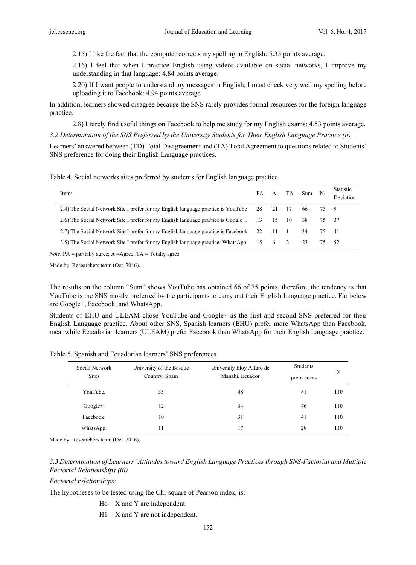2.15) I like the fact that the computer corrects my spelling in English: 5.35 points average.

2.16) I feel that when I practice English using videos available on social networks, I improve my understanding in that language: 4.84 points average.

2.20) If I want people to understand my messages in English, I must check very well my spelling before uploading it to Facebook: 4.94 points average.

In addition, learners showed disagree because the SNS rarely provides formal resources for the foreign language practice.

2.8) I rarely find useful things on Facebook to help me study for my English exams: 4.53 points average. *3.2 Determination of the SNS Preferred by the University Students for Their English Language Practice (ii)* 

Learners' answered between (TD) Total Disagreement and (TA) Total Agreement to questions related to Students' SNS preference for doing their English Language practices.

|  | Table 4. Social networks sites preferred by students for English language practice |  |  |  |  |
|--|------------------------------------------------------------------------------------|--|--|--|--|
|  |                                                                                    |  |  |  |  |

| Items                                                                                 |      |                |    | PA A TA Sum N. |      | Statistic<br>Deviation |
|---------------------------------------------------------------------------------------|------|----------------|----|----------------|------|------------------------|
| 2.4) The Social Network Site I prefer for my English language practice is YouTube     | 28   | 21             | 17 | 66             | 75 9 |                        |
| 2.6) The Social Network Site I prefer for my English language practice is Google+. 13 |      | 15             | 10 | 38             |      | -37                    |
| 2.7) The Social Network Site I prefer for my English language practice is Facebook 22 |      | $\frac{11}{2}$ |    | 34             |      | -41                    |
| 2.5) The Social Network Site I prefer for my English language practice: WhatsApp.     | - 15 | -6             |    | 23             |      | .52                    |
|                                                                                       |      |                |    |                |      |                        |

*Note*. PA = partially agree; A =Agree; TA = Totally agree.

Made by: Researchers team (Oct. 2016).

The results on the column "Sum" shows YouTube has obtained 66 of 75 points, therefore, the tendency is that YouTube is the SNS mostly preferred by the participants to carry out their English Language practice. Far below are Google+, Facebook, and WhatsApp.

Students of EHU and ULEAM chose YouTube and Google+ as the first and second SNS preferred for their English Language practice. About other SNS, Spanish learners (EHU) prefer more WhatsApp than Facebook, meanwhile Ecuadorian learners (ULEAM) prefer Facebook than WhatsApp for their English Language practice.

| Table 5. Spanish and Ecuadorian learners' SNS preferences |  |
|-----------------------------------------------------------|--|
|-----------------------------------------------------------|--|

| Social Network<br><b>Sites</b> | University of the Basque<br>Country, Spain | University Eloy Alfaro de<br>Manabi, Ecuador | Students<br>preferences | N   |
|--------------------------------|--------------------------------------------|----------------------------------------------|-------------------------|-----|
| YouTube.                       | 33                                         | 48                                           | 81                      | 110 |
| $Google+.$                     | 12                                         | 34                                           | 46                      | 110 |
| Facebook.                      | 10                                         | 31                                           | 41                      | 110 |
| WhatsApp.                      | 11                                         | 17                                           | 28                      | 110 |

Made by: Researchers team (Oct. 2016).

*3.3 Determination of Learners' Attitudes toward English Language Practices through SNS-Factorial and Multiple Factorial Relationships (iii)* 

*Factorial relationships:* 

The hypotheses to be tested using the Chi-square of Pearson index, is:

 $Ho = X$  and Y are independent.

 $H1 = X$  and Y are not independent.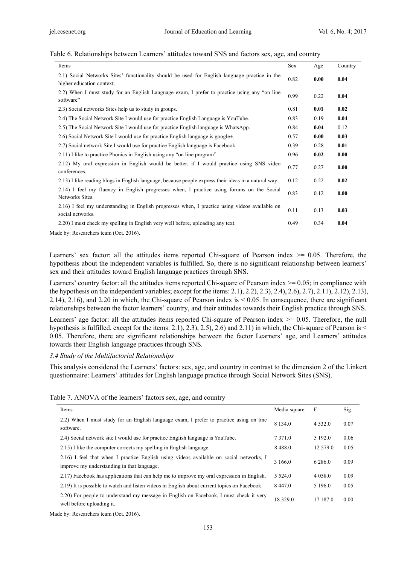| Table 6. Relationships between Learners' attitudes toward SNS and factors sex, age, and country |  |  |
|-------------------------------------------------------------------------------------------------|--|--|
|-------------------------------------------------------------------------------------------------|--|--|

| Items                                                                                                                      | <b>Sex</b> | Age  | Country |
|----------------------------------------------------------------------------------------------------------------------------|------------|------|---------|
| 2.1) Social Networks Sites' functionality should be used for English language practice in the<br>higher education context. | 0.82       | 0.00 | 0.04    |
| 2.2) When I must study for an English Language exam, I prefer to practice using any "on line"<br>software"                 | 0.99       | 0.22 | 0.04    |
| 2.3) Social networks Sites help us to study in groups.                                                                     | 0.81       | 0.01 | 0.02    |
| 2.4) The Social Network Site I would use for practice English Language is YouTube.                                         | 0.83       | 0.19 | 0.04    |
| 2.5) The Social Network Site I would use for practice English language is WhatsApp.                                        | 0.84       | 0.04 | 0.12    |
| 2.6) Social Network Site I would use for practice English language is google+.                                             | 0.57       | 0.00 | 0.03    |
| 2.7) Social network Site I would use for practice English language is Facebook.                                            | 0.39       | 0.28 | 0.01    |
| 2.11) I like to practice Phonics in English using any "on line program"                                                    | 0.96       | 0.02 | 0.00    |
| 2.12) My oral expression in English would be better, if I would practice using SNS video<br>conferences.                   | 0.77       | 0.27 | 0.00    |
| 2.13) I like reading blogs in English language, because people express their ideas in a natural way.                       | 0.12       | 0.22 | 0.02    |
| 2.14) I feel my fluency in English progresses when, I practice using forums on the Social<br>Networks Sites.               | 0.83       | 0.12 | 0.00    |
| 2.16) I feel my understanding in English progresses when, I practice using videos available on<br>social networks.         | 0.11       | 0.13 | 0.03    |
| 2.20) I must check my spelling in English very well before, uploading any text.                                            | 0.49       | 0.34 | 0.04    |

Made by: Researchers team (Oct. 2016).

Learners' sex factor: all the attitudes items reported Chi-square of Pearson index  $\ge$  = 0.05. Therefore, the hypothesis about the independent variables is fulfilled. So, there is no significant relationship between learners' sex and their attitudes toward English language practices through SNS.

Learners' country factor: all the attitudes items reported Chi-square of Pearson index  $\geq 0.05$ ; in compliance with the hypothesis on the independent variables; except for the items: 2.1), 2.2), 2.3), 2.4), 2.6), 2.7), 2.11), 2.12), 2.13), 2.14), 2.16), and 2.20 in which, the Chi-square of Pearson index is < 0.05. In consequence, there are significant relationships between the factor learners' country, and their attitudes towards their English practice through SNS.

Learners' age factor: all the attitudes items reported Chi-square of Pearson index  $\geq 0.05$ . Therefore, the null hypothesis is fulfilled, except for the items: 2.1), 2.3), 2.5), 2.6) and 2.11) in which, the Chi-square of Pearson is < 0.05. Therefore, there are significant relationships between the factor Learners' age, and Learners' attitudes towards their English language practices through SNS.

#### *3.4 Study of the Multifactorial Relationships*

This analysis considered the Learners' factors: sex, age, and country in contrast to the dimension 2 of the Linkert questionnaire: Learners' attitudes for English language practice through Social Network Sites (SNS).

| Items                                                                                                                                | Media square | F          | Sig. |
|--------------------------------------------------------------------------------------------------------------------------------------|--------------|------------|------|
| 2.2) When I must study for an English language exam, I prefer to practice using on line<br>software.                                 | 8 1 3 4 .0   | 4 5 3 2 0  | 0.07 |
| 2.4) Social network site I would use for practice English language is YouTube.                                                       | 7371.0       | 5 192.0    | 0.06 |
| 2.15) I like the computer corrects my spelling in English language.                                                                  | 8488.0       | 12 579.0   | 0.05 |
| 2.16) I feel that when I practice English using videos available on social networks, I<br>improve my understanding in that language. | 3 166.0      | 6 2 8 6 0  | 0.09 |
| 2.17) Facebook has applications that can help me to improve my oral expression in English.                                           | 5 5 2 4 .0   | 4 0 5 8 .0 | 0.09 |
| 2.19) It is possible to watch and listen videos in English about current topics on Facebook.                                         | 8447.0       | 5 196.0    | 0.05 |
| 2.20) For people to understand my message in English on Facebook, I must check it very<br>well before uploading it.                  | 18 329.0     | 17 187.0   | 0.00 |

Table 7. ANOVA of the learners' factors sex, age, and country

Made by: Researchers team (Oct. 2016).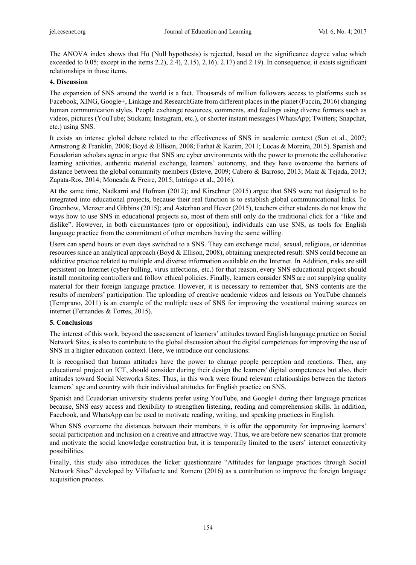The ANOVA index shows that Ho (Null hypothesis) is rejected, based on the significance degree value which exceeded to  $0.05$ ; except in the items 2.2), 2.4), 2.15), 2.16). 2.17) and 2.19). In consequence, it exists significant relationships in those items.

# **4. Discussion**

The expansion of SNS around the world is a fact. Thousands of million followers access to platforms such as Facebook, XING, Google+, Linkage and ResearchGate from different places in the planet (Faccin, 2016) changing human communication styles. People exchange resources, comments, and feelings using diverse formats such as videos, pictures (YouTube; Stickam; Instagram, etc.), or shorter instant messages (WhatsApp; Twitters; Snapchat, etc.) using SNS.

It exists an intense global debate related to the effectiveness of SNS in academic context (Sun et al., 2007; Armstrong & Franklin, 2008; Boyd & Ellison, 2008; Farhat & Kazim, 2011; Lucas & Moreira, 2015). Spanish and Ecuadorian scholars agree in argue that SNS are cyber environments with the power to promote the collaborative learning activities, authentic material exchange, learners' autonomy, and they have overcome the barriers of distance between the global community members (Esteve, 2009; Cabero & Barroso, 2013; Maiz & Tejada, 2013; Zapata-Ros, 2014; Moncada & Freire, 2015; Intriago et al., 2016).

At the same time, Nadkarni and Hofman (2012); and Kirschner (2015) argue that SNS were not designed to be integrated into educational projects, because their real function is to establish global communicational links. To Greenhow, Menzer and Gibbins (2015); and Asterhan and Hever (2015), teachers either students do not know the ways how to use SNS in educational projects so, most of them still only do the traditional click for a "like and dislike". However, in both circumstances (pro or opposition), individuals can use SNS, as tools for English language practice from the commitment of other members having the same willing.

Users can spend hours or even days switched to a SNS. They can exchange racial, sexual, religious, or identities resources since an analytical approach (Boyd & Ellison, 2008), obtaining unexpected result. SNS could become an addictive practice related to multiple and diverse information available on the Internet. In Addition, risks are still persistent on Internet (cyber bulling, virus infections, etc.) for that reason, every SNS educational project should install monitoring controllers and follow ethical policies. Finally, learners consider SNS are not supplying quality material for their foreign language practice. However, it is necessary to remember that, SNS contents are the results of members' participation. The uploading of creative academic videos and lessons on YouTube channels (Temprano, 2011) is an example of the multiple uses of SNS for improving the vocational training sources on internet (Fernandes & Torres, 2015).

# **5. Conclusions**

The interest of this work, beyond the assessment of learners' attitudes toward English language practice on Social Network Sites, is also to contribute to the global discussion about the digital competences for improving the use of SNS in a higher education context. Here, we introduce our conclusions:

It is recognised that human attitudes have the power to change people perception and reactions. Then, any educational project on ICT, should consider during their design the learners' digital competences but also, their attitudes toward Social Networks Sites. Thus, in this work were found relevant relationships between the factors learners' age and country with their individual attitudes for English practice on SNS.

Spanish and Ecuadorian university students prefer using YouTube, and Google+ during their language practices because, SNS easy access and flexibility to strengthen listening, reading and comprehension skills. In addition, Facebook, and WhatsApp can be used to motivate reading, writing, and speaking practices in English.

When SNS overcome the distances between their members, it is offer the opportunity for improving learners' social participation and inclusion on a creative and attractive way. Thus, we are before new scenarios that promote and motivate the social knowledge construction but, it is temporarily limited to the users' internet connectivity possibilities.

Finally, this study also introduces the licker questionnaire "Attitudes for language practices through Social Network Sites" developed by Villafuerte and Romero (2016) as a contribution to improve the foreign language acquisition process.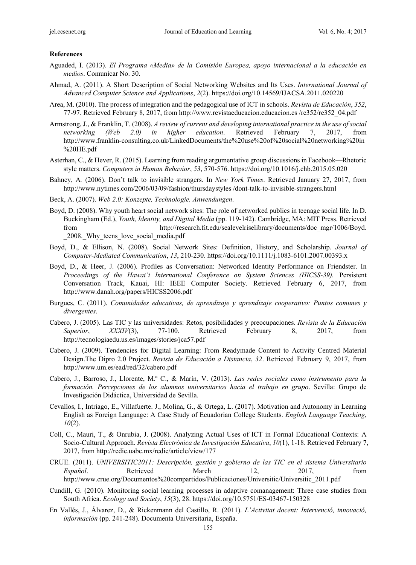#### **References**

- Aguaded, I. (2013). *El Programa «Media» de la Comisión Europea, apoyo internacional a la educación en medios*. Comunicar No. 30.
- Ahmad, A. (2011). A Short Description of Social Networking Websites and Its Uses. *International Journal of Advanced Computer Science and Applications*, *2*(2). https://doi.org/10.14569/IJACSA.2011.020220
- Area, M. (2010). The process of integration and the pedagogical use of ICT in schools. *Revista de Educación*, *352*, 77-97. Retrieved February 8, 2017, from http://www.revistaeducacion.educacion.es /re352/re352\_04.pdf
- Armstrong, J., & Franklin, T. (2008). *A review of current and developing international practice in the use of social networking (Web 2.0) in higher education*. Retrieved February 7, 2017, from http://www.franklin-consulting.co.uk/LinkedDocuments/the%20use%20of%20social%20networking%20in %20HE.pdf
- Asterhan, C., & Hever, R. (2015). Learning from reading argumentative group discussions in Facebook—Rhetoric style matters. *Computers in Human Behavior*, *53*, 570-576. https://doi.org/10.1016/j.chb.2015.05.020
- Bahney, A*.* (2006). Don't talk to invisible strangers. In *New York Times*. Retrieved January 27, 2017, from http://www.nytimes.com/2006/03/09/fashion/thursdaystyles /dont-talk-to-invisible-strangers.html
- Beck, A. (2007). *Web 2.0: Konzepte, Technologie, Anwendungen*.
- Boyd, D. (2008). Why youth heart social network sites: The role of networked publics in teenage social life. In D. Buckingham (Ed.), *Youth, Identity, and Digital Media* (pp. 119-142). Cambridge, MA: MIT Press. Retrieved from http://research.fit.edu/sealevelriselibrary/documents/doc\_mgr/1006/Boyd. \_2008.\_Why\_teens\_love\_social\_media.pdf
- Boyd, D., & Ellison, N. (2008). Social Network Sites: Definition, History, and Scholarship. *Journal of Computer-Mediated Communication*, *13*, 210-230. https://doi.org/10.1111/j.1083-6101.2007.00393.x
- Boyd, D., & Heer, J. (2006). Profiles as Conversation: Networked Identity Performance on Friendster. In *Proceedings of the Hawai'i International Conference on System Sciences (HICSS-39)*. Persistent Conversation Track, Kauai, HI: IEEE Computer Society. Retrieved February 6, 2017, from http://www.danah.org/papers/HICSS2006.pdf
- Burgues, C. (2011). *Comunidades educativas, de aprendizaje y aprendizaje cooperativo: Puntos comunes y divergentes*.
- Cabero, J. (2005). Las TIC y las universidades: Retos, posibilidades y preocupaciones. *Revista de la Educación Superior*, *XXXIV*(3), 77-100. Retrieved February 8, 2017, from http://tecnologiaedu.us.es/images/stories/jca57.pdf
- Cabero, J. (2009). Tendencies for Digital Learning: From Readymade Content to Activity Centred Material Design.The Dipro 2.0 Project. *Revista de Educación a Distancia*, *32*. Retrieved February 9, 2017, from http://www.um.es/ead/red/32/cabero.pdf
- Cabero, J., Barroso, J., Llorente, M.ª C., & Marín, V. (2013). *Las redes sociales como instrumento para la formación. Percepciones de los alumnos universitarios hacia el trabajo en grupo*. Sevilla: Grupo de Investigación Didáctica, Universidad de Sevilla.
- Cevallos, I., Intriago, E., Villafuerte. J., Molina, G., & Ortega, L. (2017). Motivation and Autonomy in Learning English as Foreign Language: A Case Study of Ecuadorian College Students. *English Language Teaching*, *10*(2).
- Coll, C., Mauri, T., & Onrubia, J. (2008). Analyzing Actual Uses of ICT in Formal Educational Contexts: A Socio-Cultural Approach. *Revista Electrónica de Investigación Educativa*, *10*(1), 1-18. Retrieved February 7, 2017, from http://redie.uabc.mx/redie/article/view/177
- CRUE. (2011). *UNIVERSITIC2011: Descripción, gestión y gobierno de las TIC en el sistema Universitario Español*. Retrieved March 12, 2017, from http://www.crue.org/Documentos%20compartidos/Publicaciones/Universitic/Universitic\_2011.pdf
- Cundill, G. (2010). Monitoring social learning processes in adaptive comanagement: Three case studies from South Africa. *Ecology and Society*, *15*(3), 28. https://doi.org/10.5751/ES-03467-150328
- En Vallés, J., Álvarez, D., & Rickenmann del Castillo, R. (2011). *L'Activitat docent: Intervenció, innovació, información* (pp. 241-248). Documenta Universitaria, España.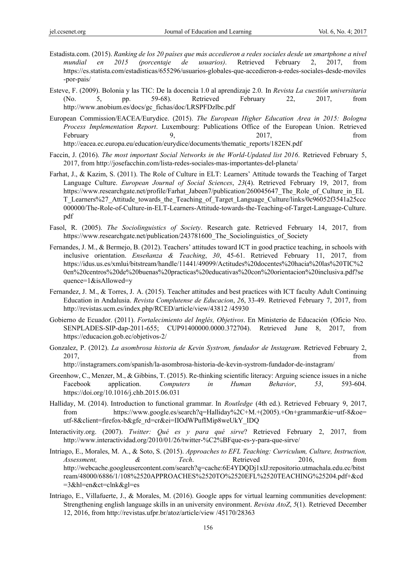- Estadista.com. (2015). *Ranking de los 20 países que más accedieron a redes sociales desde un smartphone a nivel mundial en 2015 (porcentaje de usuarios)*. Retrieved February 2, 2017, from https://es.statista.com/estadisticas/655296/usuarios-globales-que-accedieron-a-redes-sociales-desde-moviles -por-pais/
- Esteve, F. (2009). Bolonia y las TIC: De la docencia 1.0 al aprendizaje 2.0. In *Revista La cuestión universitaria*  (No. 5, pp. 59-68). Retrieved February 22, 2017, from http://www.anobium.es/docs/gc\_fichas/doc/LRSPFDzlbc.pdf
- European Commission/EACEA/Eurydice. (2015). *The European Higher Education Area in 2015: Bologna Process Implementation Report*. Luxembourg: Publications Office of the European Union. Retrieved February 6. 9, 2017, from from the state of the state of the state of the state of the state of the state of the state of the state of the state of the state of the state of the state of the state of the state of the state http://eacea.ec.europa.eu/education/eurydice/documents/thematic\_reports/182EN.pdf
- Faccin, J. (2016). *The most important Social Networks in the World-Updated list 2016*. Retrieved February 5, 2017, from http://josefacchin.com/lista-redes-sociales-mas-importantes-del-planeta/
- Farhat, J., & Kazim, S. (2011). The Role of Culture in ELT: Learners' Attitude towards the Teaching of Target Language Culture. *European Journal of Social Sciences*, *23*(4). Retrieved February 19, 2017, from https://www.researchgate.net/profile/Farhat\_Jabeen7/publication/260045647\_The\_Role\_of\_Culture\_in\_EL T\_Learners%27\_Attitude\_towards\_the\_Teaching\_of\_Target\_Language\_Culture/links/0c96052f3541a25ccc 000000/The-Role-of-Culture-in-ELT-Learners-Attitude-towards-the-Teaching-of-Target-Language-Culture. pdf
- Fasol, R. (2005). *The Sociolinguistics of Society*. Research gate. Retrieved February 14, 2017, from https://www.researchgate.net/publication/243781600\_The\_Sociolinguistics\_of\_Society
- Fernandes, J. M., & Bermejo, B. (2012). Teachers' attitudes toward ICT in good practice teaching, in schools with inclusive orientation. *Enseñanza & Teaching*, *30*, 45-61. Retrieved February 11, 2017, from https://idus.us.es/xmlui/bitstream/handle/11441/49099/Actitudes%20docentes%20hacia%20las%20TIC%2 0en%20centros%20de%20buenas%20practicas%20educativas%20con%20orientacion%20inclusiva.pdf?se quence=1&isAllowed=y
- Fernandez, J. M., & Torres, J. A. (2015). Teacher attitudes and best practices with ICT faculty Adult Continuing Education in Andalusia. *Revista Complutense de Educacion*, *26*, 33-49. Retrieved February 7, 2017, from http://revistas.ucm.es/index.php/RCED/article/view/43812 /45930
- Gobierno de Ecuador. (2011). *Fortalecimiento del Inglés, Objetivos*. En Ministerio de Educación (Oficio Nro. SENPLADES-SIP-dap-2011-655; CUP91400000.0000.372704). Retrieved June 8, 2017, from https://educacion.gob.ec/objetivos-2/
- Gonzalez, P. (2012). *La asombrosa historia de Kevin Systrom, fundador de Instagram*. Retrieved February 2, 2017, from the contract of the contract of the contract of the contract of the contract of the contract of the contract of the contract of the contract of the contract of the contract of the contract of the contract of the
	- http://instagramers.com/spanish/la-asombrosa-historia-de-kevin-systrom-fundador-de-instagram/
- Greenhow, C., Menzer, M., & Gibbins, T. (2015). Re-thinking scientific literacy: Arguing science issues in a niche Facebook application. *Computers in Human Behavior*, *53*, 593-604. https://doi.org/10.1016/j.chb.2015.06.031
- Halliday, M. (2014). Introduction to functional grammar. In *Routledge* (4th ed.). Retrieved February 9, 2017, from https://www.google.es/search?q=Halliday%2C+M.+(2005).+On+grammar&ie=utf-8&oe= utf-8&client=firefox-b&gfe\_rd=cr&ei=IIOdWPufIMip8weUkY\_IDQ
- Interactivity.org. (2007). *Twitter: Qué es y para qué sirve*? Retrieved February 2, 2017, from http://www.interactividad.org/2010/01/26/twitter-%C2%BFque-es-y-para-que-sirve/
- Intriago, E., Morales, M. A., & Soto, S. (2015). *Approaches to EFL Teaching: Curriculum, Culture, Instruction, Assessment, & Tech*. Retrieved 2016, from http://webcache.googleusercontent.com/search?q=cache:6E4YDQDj1xIJ:repositorio.utmachala.edu.ec/bitst ream/48000/6886/1/108%2520APPROACHES%2520TO%2520EFL%2520TEACHING%25204.pdf+&cd =3&hl=en&ct=clnk&gl=es
- Intriago, E., Villafuerte, J., & Morales, M. (2016). Google apps for virtual learning communities development: Strengthening english language skills in an university environment. *Revista AtoZ*, *5*(1). Retrieved December 12, 2016, from http://revistas.ufpr.br/atoz/article/view /45170/28363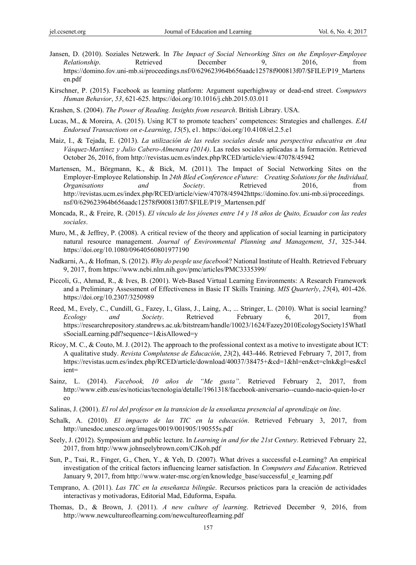- Jansen, D. (2010). Soziales Netzwerk. In *The Impact of Social Networking Sites on the Employer-Employee Relationship*. Retrieved December 9, 2016, from https://domino.fov.uni-mb.si/proceedings.nsf/0/629623964b656aadc12578f900813f07/\$FILE/P19\_Martens en.pdf
- Kirschner, P. (2015). Facebook as learning platform: Argument superhighway or dead-end street. *Computers Human Behavior*, *53*, 621-625. https://doi.org/10.1016/j.chb.2015.03.011
- Krashen, S. (2004). *The Power of Reading. Insights from research*. British Library. USA.
- Lucas, M., & Moreira, A. (2015). Using ICT to promote teachers' competences: Strategies and challenges. *EAI Endorsed Transactions on e-Learning*, *15*(5), e1. https://doi.org/10.4108/el.2.5.e1
- Maiz, I., & Tejada, E. (2013). *La utilización de las redes sociales desde una perspectiva educativa en Ana Vásquez-Martínez y Julio Cabero-Almenara (2014)*. Las redes sociales aplicadas a la formación. Retrieved October 26, 2016, from http://revistas.ucm.es/index.php/RCED/article/view/47078/45942
- Martensen, M., Börgmann, K., & Bick, M. (2011). The Impact of Social Networking Sites on the Employer-Employee Relationship. In *24th Bled eConference eFuture: Creating Solutions for the Individual, Organisations and Society*. Retrieved 2016, from http://revistas.ucm.es/index.php/RCED/article/view/47078/45942https://domino.fov.uni-mb.si/proceedings. nsf/0/629623964b656aadc12578f900813f07/\$FILE/P19\_Martensen.pdf
- Moncada, R., & Freire, R. (2015). *El vínculo de los jóvenes entre 14 y 18 años de Quito, Ecuador con las redes sociales*.
- Muro, M., & Jeffrey, P. (2008). A critical review of the theory and application of social learning in participatory natural resource management. *Journal of Environmental Planning and Management*, *51*, 325-344. https://doi.org/10.1080/09640560801977190
- Nadkarni, A., & Hofman, S. (2012). *Why do people use facebook*? National Institute of Health. Retrieved February 9, 2017, from https://www.ncbi.nlm.nih.gov/pmc/articles/PMC3335399/
- Piccoli, G., Ahmad, R., & Ives, B. (2001). Web-Based Virtual Learning Environments: A Research Framework and a Preliminary Assessment of Effectiveness in Basic IT Skills Training. *MIS Quarterly*, *25*(4), 401-426. https://doi.org/10.2307/3250989
- Reed, M., Evely, C., Cundill, G., Fazey, I., Glass, J., Laing, A., ... Stringer, L. (2010). What is social learning? *Ecology and Society*. Retrieved February 6, 2017, from https://researchrepository.standrews.ac.uk/bitstream/handle/10023/1624/Fazey2010EcologySociety15WhatI sSocialLearning.pdf?sequence=1&isAllowed=y
- Ricoy, M. C., & Couto, M. J. (2012). The approach to the professional context as a motive to investigate about ICT: A qualitative study. *Revista Complutense de Educación*, *23*(2), 443-446. Retrieved February 7, 2017, from https://revistas.ucm.es/index.php/RCED/article/download/40037/38475+&cd=1&hl=en&ct=clnk&gl=es&cl ient=
- Sainz, L. (2014). *Facebook, 10 años de "Me gusta"*. Retrieved February 2, 2017, from http://www.eitb.eus/es/noticias/tecnologia/detalle/1961318/facebook-aniversario--cuando-nacio-quien-lo-cr eo
- Salinas, J. (2001). *El rol del profesor en la transicion de la enseñanza presencial al aprendizaje on line*.
- Schalk, A. (2010). *El impacto de las TIC en la educación*. Retrieved February 3, 2017, from http://unesdoc.unesco.org/images/0019/001905/190555s.pdf
- Seely, J. (2012). Symposium and public lecture. In *Learning in and for the 21st Century*. Retrieved February 22, 2017, from http://www.johnseelybrown.com/CJKoh.pdf
- Sun, P., Tsai, R., Finger, G., Chen, Y., & Yeh, D. (2007). What drives a successful e-Learning? An empirical investigation of the critical factors influencing learner satisfaction. In *Computers and Education*. Retrieved January 9, 2017, from http://www.water-msc.org/en/knowledge\_base/successful\_e\_learning.pdf
- Temprano, A. (2011). *Las TIC en la enseñanza bilingüe*. Recursos prácticos para la creación de actividades interactivas y motivadoras, Editorial Mad, Eduforma, España.
- Thomas, D., & Brown, J. (2011). *A new culture of learning*. Retrieved December 9, 2016, from http://www.newcultureoflearning.com/newcultureoflearning.pdf